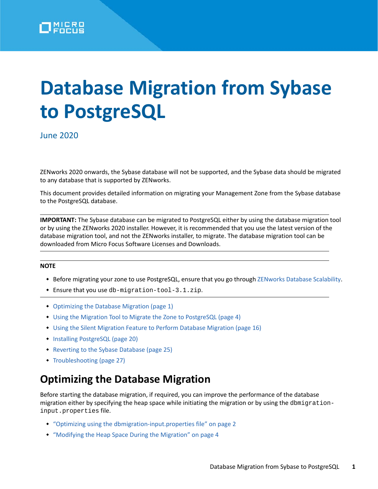

# **Database Migration from Sybase to PostgreSQL**

June 2020

ZENworks 2020 onwards, the Sybase database will not be supported, and the Sybase data should be migrated to any database that is supported by ZENworks.

This document provides detailed information on migrating your Management Zone from the Sybase database to the PostgreSQL database.

**IMPORTANT:** The Sybase database can be migrated to PostgreSQL either by using the database migration tool or by using the ZENworks 2020 installer. However, it is recommended that you use the latest version of the database migration tool, and not the ZENworks installer, to migrate. The database migration tool can be downloaded from Micro Focus Software Licenses and Downloads.

#### **NOTE**

- Before migrating your zone to use PostgreSQL, ensure that you go through [ZENworks Database Scalability](https://www.novell.com/documentation/zenworks-2020/zen_cm_deployment_bp/data/b1ablwps.html).
- Ensure that you use db-migration-tool-3.1.zip.
- [Optimizing the Database Migration \(page 1\)](#page-0-0)
- [Using the Migration Tool to Migrate the Zone to PostgreSQL \(page 4\)](#page-3-0)
- [Using the Silent Migration Feature to Perform Database Migration \(page 16\)](#page-15-0)
- [Installing PostgreSQL \(page 20\)](#page-19-0)
- [Reverting to the Sybase Database \(page 25\)](#page-24-0)
- [Troubleshooting \(page 27\)](#page-26-0)

# <span id="page-0-0"></span>**Optimizing the Database Migration**

Before starting the database migration, if required, you can improve the performance of the database migration either by specifying the heap space while initiating the migration or by using the dbmigrationinput.properties file.

- ["Optimizing using the dbmigration-input.properties file" on page 2](#page-1-0)
- ["Modifying the Heap Space During the Migration" on page 4](#page-3-1)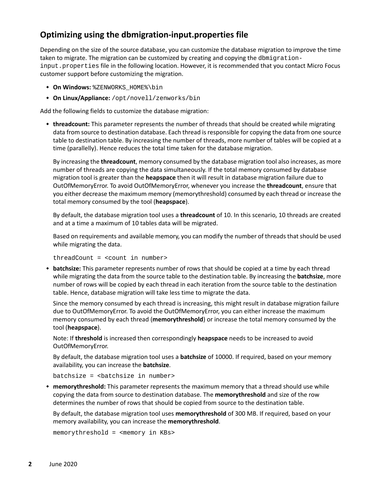# <span id="page-1-0"></span>**Optimizing using the dbmigration-input.properties file**

Depending on the size of the source database, you can customize the database migration to improve the time taken to migrate. The migration can be customized by creating and copying the dbmigrationinput.properties file in the following location. However, it is recommended that you contact Micro Focus customer support before customizing the migration.

- **On Windows:** %ZENWORKS\_HOME%\bin
- **On Linux/Appliance:** /opt/novell/zenworks/bin

Add the following fields to customize the database migration:

 **threadcount:** This parameter represents the number of threads that should be created while migrating data from source to destination database. Each thread is responsible for copying the data from one source table to destination table. By increasing the number of threads, more number of tables will be copied at a time (parallelly). Hence reduces the total time taken for the database migration.

By increasing the **threadcount**, memory consumed by the database migration tool also increases, as more number of threads are copying the data simultaneously. If the total memory consumed by database migration tool is greater than the **heapspace** then it will result in database migration failure due to OutOfMemoryError. To avoid OutOfMemoryError, whenever you increase the **threadcount**, ensure that you either decrease the maximum memory (memorythreshold) consumed by each thread or increase the total memory consumed by the tool (**heapspace**).

By default, the database migration tool uses a **threadcount** of 10. In this scenario, 10 threads are created and at a time a maximum of 10 tables data will be migrated.

Based on requirements and available memory, you can modify the number of threads that should be used while migrating the data.

threadCount = <count in number>

 **batchsize:** This parameter represents number of rows that should be copied at a time by each thread while migrating the data from the source table to the destination table. By increasing the **batchsize**, more number of rows will be copied by each thread in each iteration from the source table to the destination table. Hence, database migration will take less time to migrate the data.

Since the memory consumed by each thread is increasing, this might result in database migration failure due to OutOfMemoryError. To avoid the OutOfMemoryError, you can either increase the maximum memory consumed by each thread (**memorythreshold**) or increase the total memory consumed by the tool (**heapspace**).

Note: If **threshold** is increased then correspondingly **heapspace** needs to be increased to avoid OutOfMemoryError.

By default, the database migration tool uses a **batchsize** of 10000. If required, based on your memory availability, you can increase the **batchsize**.

batchsize = <batchsize in number>

 **memorythreshold:** This parameter represents the maximum memory that a thread should use while copying the data from source to destination database. The **memorythreshold** and size of the row determines the number of rows that should be copied from source to the destination table.

By default, the database migration tool uses **memorythreshold** of 300 MB. If required, based on your memory availability, you can increase the **memorythreshold**.

memorythreshold = <memory in KBs>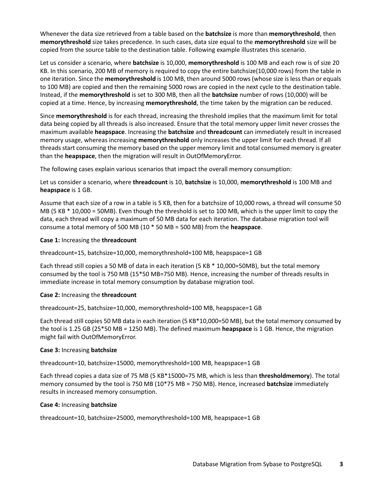Whenever the data size retrieved from a table based on the **batchsize** is more than **memorythreshold**, then **memorythreshold** size takes precedence. In such cases, data size equal to the **memorythreshold** size will be copied from the source table to the destination table. Following example illustrates this scenario.

Let us consider a scenario, where **batchsize** is 10,000, **memorythreshold** is 100 MB and each row is of size 20 KB. In this scenario, 200 MB of memory is required to copy the entire batchsize(10,000 rows) from the table in one iteration. Since the **memorythreshold** is 100 MB, then around 5000 rows (whose size is less than or equals to 100 MB) are copied and then the remaining 5000 rows are copied in the next cycle to the destination table. Instead, if the **memorythreshold** is set to 300 MB, then all the **batchsize** number of rows (10,000) will be copied at a time. Hence, by increasing **memorythreshold**, the time taken by the migration can be reduced.

Since **memorythreshold** is for each thread, increasing the threshold implies that the maximum limit for total data being copied by all threads is also increased. Ensure that the total memory upper limit never crosses the maximum available **heapspace**. Increasing the **batchsize** and **threadcount** can immediately result in increased memory usage, whereas increasing **memorythreshold** only increases the upper limit for each thread. If all threads start consuming the memory based on the upper memory limit and total consumed memory is greater than the **heapspace**, then the migration will result in OutOfMemoryError.

The following cases explain various scenarios that impact the overall memory consumption:

Let us consider a scenario, where **threadcount** is 10, **batchsize** is 10,000, **memorythreshold** is 100 MB and **heapspace** is 1 GB.

Assume that each size of a row in a table is 5 KB, then for a batchsize of 10,000 rows, a thread will consume 50 MB (5 KB \* 10,000 = 50MB). Even though the threshold is set to 100 MB, which is the upper limit to copy the data, each thread will copy a maximum of 50 MB data for each iteration. The database migration tool will consume a total memory of 500 MB (10 \* 50 MB = 500 MB) from the **heapspace**.

### **Case 1:** Increasing the **threadcount**

threadcount=15, batchsize=10,000, memorythreshold=100 MB, heapspace=1 GB

Each thread still copies a 50 MB of data in each iteration (5 KB \* 10,000=50MB), but the total memory consumed by the tool is 750 MB (15\*50 MB=750 MB). Hence, increasing the number of threads results in immediate increase in total memory consumption by database migration tool.

#### **Case 2:** Increasing the **threadcount**

threadcount=25, batchsize=10,000, memorythreshold=100 MB, heapspace=1 GB

Each thread still copies 50 MB data in each iteration (5 KB\*10,000=50 MB), but the total memory consumed by the tool is 1.25 GB (25\*50 MB = 1250 MB). The defined maximum **heapspace** is 1 GB. Hence, the migration might fail with OutOfMemoryError.

#### **Case 3:** Increasing **batchsize**

threadcount=10, batchsize=15000, memorythreshold=100 MB, heapspace=1 GB

Each thread copies a data size of 75 MB (5 KB\*15000=75 MB, which is less than **thresholdmemory**). The total memory consumed by the tool is 750 MB (10\*75 MB = 750 MB). Hence, increased **batchsize** immediately results in increased memory consumption.

#### **Case 4:** Increasing **batchsize**

threadcount=10, batchsize=25000, memorythreshold=100 MB, heapspace=1 GB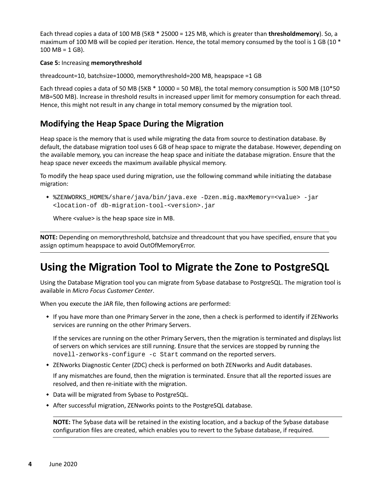Each thread copies a data of 100 MB (5KB \* 25000 = 125 MB, which is greater than **thresholdmemory**). So, a maximum of 100 MB will be copied per iteration. Hence, the total memory consumed by the tool is 1 GB (10  $*$  $100 \text{ MB} = 1 \text{ GB}$ .

### **Case 5:** Increasing **memorythreshold**

threadcount=10, batchsize=10000, memorythreshold=200 MB, heapspace =1 GB

Each thread copies a data of 50 MB (5KB \* 10000 = 50 MB), the total memory consumption is 500 MB (10\*50 MB=500 MB). Increase in threshold results in increased upper limit for memory consumption for each thread. Hence, this might not result in any change in total memory consumed by the migration tool.

### <span id="page-3-1"></span>**Modifying the Heap Space During the Migration**

Heap space is the memory that is used while migrating the data from source to destination database. By default, the database migration tool uses 6 GB of heap space to migrate the database. However, depending on the available memory, you can increase the heap space and initiate the database migration. Ensure that the heap space never exceeds the maximum available physical memory.

To modify the heap space used during migration, use the following command while initiating the database migration:

 %ZENWORKS\_HOME%/share/java/bin/java.exe -Dzen.mig.maxMemory=<value> -jar <location-of db-migration-tool-<version>.jar

Where <value> is the heap space size in MB.

**NOTE:** Depending on memorythreshold, batchsize and threadcount that you have specified, ensure that you assign optimum heapspace to avoid OutOfMemoryError.

# <span id="page-3-0"></span>**Using the Migration Tool to Migrate the Zone to PostgreSQL**

Using the Database Migration tool you can migrate from Sybase database to PostgreSQL. The migration tool is available in *Micro Focus Customer Center*.

When you execute the JAR file, then following actions are performed:

 If you have more than one Primary Server in the zone, then a check is performed to identify if ZENworks services are running on the other Primary Servers.

If the services are running on the other Primary Servers, then the migration is terminated and displays list of servers on which services are still running. Ensure that the services are stopped by running the novell-zenworks-configure -c Start command on the reported servers.

• ZENworks Diagnostic Center (ZDC) check is performed on both ZENworks and Audit databases.

If any mismatches are found, then the migration is terminated. Ensure that all the reported issues are resolved, and then re-initiate with the migration.

- Data will be migrated from Sybase to PostgreSQL.
- After successful migration, ZENworks points to the PostgreSQL database.

**NOTE:** The Sybase data will be retained in the existing location, and a backup of the Sybase database configuration files are created, which enables you to revert to the Sybase database, if required.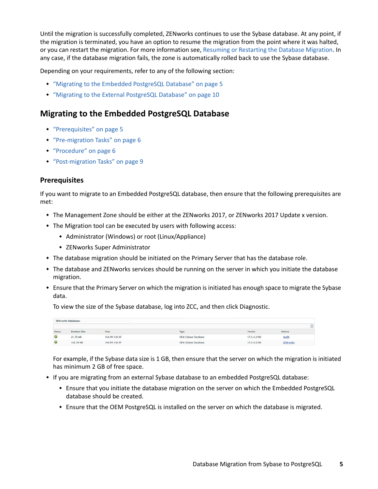Until the migration is successfully completed, ZENworks continues to use the Sybase database. At any point, if the migration is terminated, you have an option to resume the migration from the point where it was halted, or you can restart the migration. For more information see, [Resuming or Restarting the Database Migration](#page-33-0). In any case, if the database migration fails, the zone is automatically rolled back to use the Sybase database.

Depending on your requirements, refer to any of the following section:

- ["Migrating to the Embedded PostgreSQL Database" on page 5](#page-4-0)
- ["Migrating to the External PostgreSQL Database" on page 10](#page-9-0)

# <span id="page-4-0"></span>**Migrating to the Embedded PostgreSQL Database**

- ["Prerequisites" on page 5](#page-4-1)
- ["Pre-migration Tasks" on page 6](#page-5-0)
- ["Procedure" on page 6](#page-5-1)
- ["Post-migration Tasks" on page 9](#page-8-0)

### <span id="page-4-1"></span>**Prerequisites**

If you want to migrate to an Embedded PostgreSQL database, then ensure that the following prerequisites are met:

- The Management Zone should be either at the ZENworks 2017, or ZENworks 2017 Update x version.
- The Migration tool can be executed by users with following access:
	- Administrator (Windows) or root (Linux/Appliance)
	- ZENworks Super Administrator
- The database migration should be initiated on the Primary Server that has the database role.
- The database and ZENworks services should be running on the server in which you initiate the database migration.
- Ensure that the Primary Server on which the migration is initiated has enough space to migrate the Sybase data.

To view the size of the Sybase database, log into ZCC, and then click Diagnostic.

|        | ZENworks Databases |               |                     |             |                  |  |
|--------|--------------------|---------------|---------------------|-------------|------------------|--|
|        |                    |               |                     |             |                  |  |
| Status | Database Size      | Host          | Type.               | Version     | Schoma           |  |
| ŵ      | 21,78 MB           | 164.99.138.97 | OEM Sybase Database | 17.0.4.2100 | Audit            |  |
| Ø      | 162.59 MB          | 164.99.138.97 | OEM Sybase Database | 17.0.4.2100 | <b>ZENviorks</b> |  |

For example, if the Sybase data size is 1 GB, then ensure that the server on which the migration is initiated has minimum 2 GB of free space.

- If you are migrating from an external Sybase database to an embedded PostgreSQL database:
	- Ensure that you initiate the database migration on the server on which the Embedded PostgreSQL database should be created.
	- Ensure that the OEM PostgreSQL is installed on the server on which the database is migrated.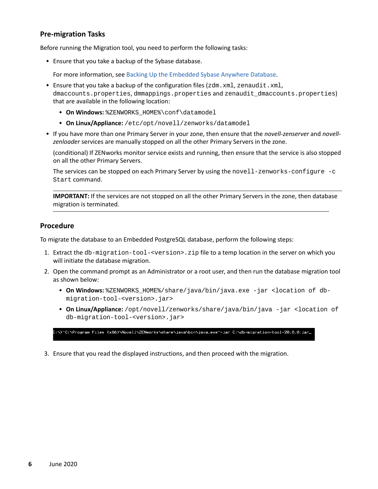### <span id="page-5-0"></span>**Pre-migration Tasks**

Before running the Migration tool, you need to perform the following tasks:

Ensure that you take a backup of the Sybase database.

For more information, see [Backing Up the Embedded Sybase Anywhere Database](https://www.novell.com/documentation/zenworks-2017-update-4/zen_sys_db_mgmt/data/ban0rcu.html).

- **Ensure that you take a backup of the configuration files (** $zdm$ **. xml, zenaudit.xml,** dmaccounts.properties, dmmappings.properties and zenaudit\_dmaccounts.properties) that are available in the following location:
	- **On Windows:** %ZENWORKS\_HOME%\conf\datamodel
	- **On Linux/Appliance:** /etc/opt/novell/zenworks/datamodel
- If you have more than one Primary Server in your zone, then ensure that the *novell-zenserver* and *novellzenloader* services are manually stopped on all the other Primary Servers in the zone.

(conditional) If ZENworks monitor service exists and running, then ensure that the service is also stopped on all the other Primary Servers.

The services can be stopped on each Primary Server by using the novell-zenworks-configure -c Start command.

**IMPORTANT:** If the services are not stopped on all the other Primary Servers in the zone, then database migration is terminated.

### <span id="page-5-1"></span>**Procedure**

To migrate the database to an Embedded PostgreSQL database, perform the following steps:

- 1. Extract the db-migration-tool-<version>.zip file to a temp location in the server on which you will initiate the database migration.
- 2. Open the command prompt as an Administrator or a root user, and then run the database migration tool as shown below:
	- **On Windows:** %ZENWORKS\_HOME%/share/java/bin/java.exe -jar <location of dbmigration-tool-<version>.jar>
	- **On Linux/Appliance:** /opt/novell/zenworks/share/java/bin/java -jar <location of db-migration-tool-<version>.jar>

.<br>C:\>"C:\Program Files (x86)\Novell\ZENworks\share\java\bin\java.exe"-jar C:\db-migration-tool-20.0.0.jar\_

3. Ensure that you read the displayed instructions, and then proceed with the migration.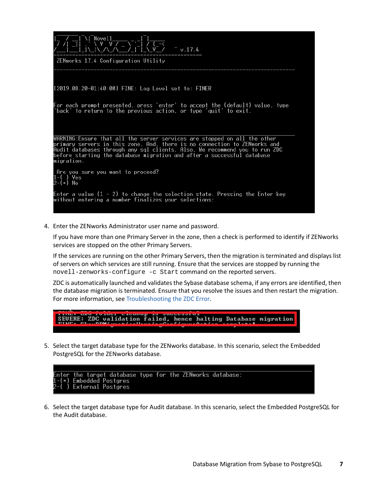

4. Enter the ZENworks Administrator user name and password.

If you have more than one Primary Server in the zone, then a check is performed to identify if ZENworks services are stopped on the other Primary Servers.

If the services are running on the other Primary Servers, then the migration is terminated and displays list of servers on which services are still running. Ensure that the services are stopped by running the novell-zenworks-configure -c Start command on the reported servers.

ZDC is automatically launched and validates the Sybase database schema, if any errors are identified, then the database migration is terminated. Ensure that you resolve the issues and then restart the migration. For more information, see [Troubleshooting the ZDC Error.](#page-26-1)

5. Select the target database type for the ZENworks database. In this scenario, select the Embedded PostgreSQL for the ZENworks database.



6. Select the target database type for Audit database. In this scenario, select the Embedded PostgreSQL for the Audit database.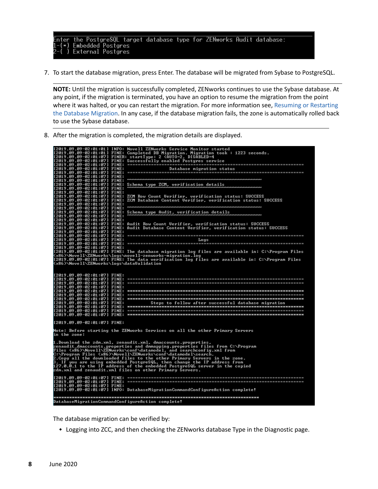the PostgreSQL target database type for ZENworks Audit database:<br>Embedded Postgres<br>External Postgres nter

7. To start the database migration, press Enter. The database will be migrated from Sybase to PostgreSQL.

**NOTE:** Until the migration is successfully completed, ZENworks continues to use the Sybase database. At any point, if the migration is terminated, you have an option to resume the migration from the point where it was halted, or you can restart the migration. For more information see, Resuming or Restarting [the Database Migration](#page-33-0). In any case, if the database migration fails, the zone is automatically rolled back to use the Sybase database.

8. After the migration is completed, the migration details are displayed.

|                                                                                           | [2019.09.09-02:01:01] INFO: Novell ZENworks Service Monitor started<br>[2019.09.09-02:01:01] FINE: Completed DB Migration. Migration took : 1223 seconds.<br>[2019.09.09-02:01:07] FINER: startType: 2 (AUTO=2, DISABLED=4<br>[2019.09.09-02:01:07] FINE: Successfully enabled Postgres service                                                                                                                                                                                                                                                                                                        |
|-------------------------------------------------------------------------------------------|--------------------------------------------------------------------------------------------------------------------------------------------------------------------------------------------------------------------------------------------------------------------------------------------------------------------------------------------------------------------------------------------------------------------------------------------------------------------------------------------------------------------------------------------------------------------------------------------------------|
|                                                                                           |                                                                                                                                                                                                                                                                                                                                                                                                                                                                                                                                                                                                        |
| [2019.09.09-02:01:07] FINE:<br>[2019.09.09-02:01:07] FINE:<br>[2019.09.09-02:01:07] FINE: |                                                                                                                                                                                                                                                                                                                                                                                                                                                                                                                                                                                                        |
| [2019.09.09-02:01:07] FINE:<br>[2019.09.09-02:01:07] FINE:                                | Schema type ZCM, verification details<br>communications communications communications communications communications                                                                                                                                                                                                                                                                                                                                                                                                                                                                                    |
| [2019.09.09-02:01:07] FINE:<br>[2019.09.09-02:01:07] FINE:                                | [2019.09.09-02:01:07] FINE: ZCM Row Count Verifier, verification status: SUCCESS<br>[2019.09.09-02:01:07] FINE: ZCM Database Content Verifier, verification status: SUCCESS                                                                                                                                                                                                                                                                                                                                                                                                                            |
| [2019.09.09-02:01:07] FINE:                                                               | L2017.07.07.07.02.01.07] FINE: Schema type Audit, verification details                                                                                                                                                                                                                                                                                                                                                                                                                                                                                                                                 |
| [2019.09.09-02:01:07] FINE:                                                               | [2019.09.09-02:01:07] FINE: Audit Row Count Verifier, verification status: SUCCESS<br>[2019.09.09-02:01:07] FINE: Audit Database Content Verifier, verification status: SUCCESS                                                                                                                                                                                                                                                                                                                                                                                                                        |
|                                                                                           |                                                                                                                                                                                                                                                                                                                                                                                                                                                                                                                                                                                                        |
| [2019.09.09-02:01:07] FINE:                                                               | [2019.09.09-02:01:07] FINE: The database migration log files are available in: C:\Program Files                                                                                                                                                                                                                                                                                                                                                                                                                                                                                                        |
| <x86>\Novell\ZENworks\logs\dataValidation</x86>                                           | <x86>\Novell\ZENworks\logs\novell-zenworks-migration.log&gt;<br/>[2019.09.09-02:01:07] FINE: The data verification log files are available in: C:\Program Files</x86>                                                                                                                                                                                                                                                                                                                                                                                                                                  |
| $12019.09.09 - 02:01:071$ FINE:                                                           |                                                                                                                                                                                                                                                                                                                                                                                                                                                                                                                                                                                                        |
| [2019.09.09-02:01:07] FINE:                                                               | Note: Before starting the ZENworks Services on all the other Primary Servers                                                                                                                                                                                                                                                                                                                                                                                                                                                                                                                           |
| in the zone:                                                                              | 1.Download the zdm.xml, zenaudit.xml, dmaccounts.properties,<br>zenaudit_dmaccounts.properties and dmmapping.properties files from C:\Program<br>Files <x86>\Novell\ZENworks\conf\datamodel, and searchconfig.xml from<br/>C:\Program Files (x86)\Novell\ZENworks\conf\datamodel\search.<br/>2.Copy all the downloaded files to the other Primary Servers in the zone.<br/>3. If you are using embedded PostgreSQL, then change the IP address from<br/>127.0.0.1 to the IP address of the embedded PostgreSQL server in the copied<br/>zdm.xml and zenaudit.xml files on other Primary Servers.</x86> |
| [2019.09.09-02:01:07] FINE:                                                               | [2019.09.09-02:01:07] INFO: DatabaseMigrationCommandConfigureAction complete!                                                                                                                                                                                                                                                                                                                                                                                                                                                                                                                          |
|                                                                                           | DatabaseMigrationCommandConfigureAction complete!                                                                                                                                                                                                                                                                                                                                                                                                                                                                                                                                                      |

The database migration can be verified by:

Logging into ZCC, and then checking the ZENworks database Type in the Diagnostic page.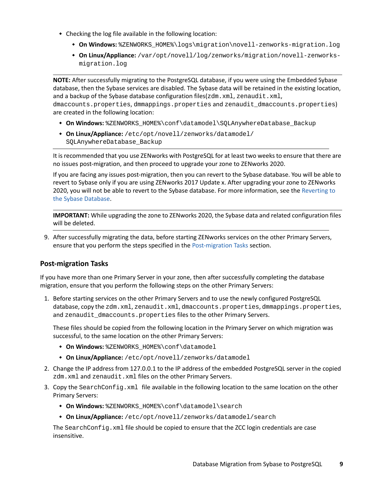- Checking the log file available in the following location:
	- **On Windows:** %ZENWORKS\_HOME%\logs\migration\novell-zenworks-migration.log
	- **On Linux/Appliance:** /var/opt/novell/log/zenworks/migration/novell-zenworksmigration.log

**NOTE:** After successfully migrating to the PostgreSQL database, if you were using the Embedded Sybase database, then the Sybase services are disabled. The Sybase data will be retained in the existing location, and a backup of the Sybase database configuration files(zdm.xml, zenaudit.xml,

dmaccounts.properties, dmmappings.properties and zenaudit\_dmaccounts.properties) are created in the following location:

- **On Windows:** %ZENWORKS\_HOME%\conf\datamodel\SQLAnywhereDatabase\_Backup
- **On Linux/Appliance:** /etc/opt/novell/zenworks/datamodel/ SQLAnywhereDatabase\_Backup

It is recommended that you use ZENworks with PostgreSQL for at least two weeks to ensure that there are no issues post-migration, and then proceed to upgrade your zone to ZENworks 2020.

If you are facing any issues post-migration, then you can revert to the Sybase database. You will be able to revert to Sybase only if you are using ZENworks 2017 Update x. After upgrading your zone to ZENworks 2020, you will not be able to revert to the Sybase database. For more information, see the [Reverting to](#page-24-0)  [the Sybase Database](#page-24-0).

**IMPORTANT:** While upgrading the zone to ZENworks 2020, the Sybase data and related configuration files will be deleted.

9. After successfully migrating the data, before starting ZENworks services on the other Primary Servers, ensure that you perform the steps specified in the [Post-migration Tasks](#page-8-0) section.

### <span id="page-8-0"></span>**Post-migration Tasks**

If you have more than one Primary Server in your zone, then after successfully completing the database migration, ensure that you perform the following steps on the other Primary Servers:

1. Before starting services on the other Primary Servers and to use the newly configured PostgreSQL database, copy the zdm.xml, zenaudit.xml, dmaccounts.properties, dmmappings.properties, and zenaudit\_dmaccounts.properties files to the other Primary Servers.

These files should be copied from the following location in the Primary Server on which migration was successful, to the same location on the other Primary Servers:

- **On Windows:** %ZENWORKS\_HOME%\conf\datamodel
- **On Linux/Appliance:** /etc/opt/novell/zenworks/datamodel
- 2. Change the IP address from 127.0.0.1 to the IP address of the embedded PostgreSQL server in the copied zdm.xml and zenaudit.xml files on the other Primary Servers.
- 3. Copy the SearchConfig.xml file available in the following location to the same location on the other Primary Servers:
	- **On Windows:** %ZENWORKS\_HOME%\conf\datamodel\search
	- **On Linux/Appliance:** /etc/opt/novell/zenworks/datamodel/search

The SearchConfig.xml file should be copied to ensure that the ZCC login credentials are case insensitive.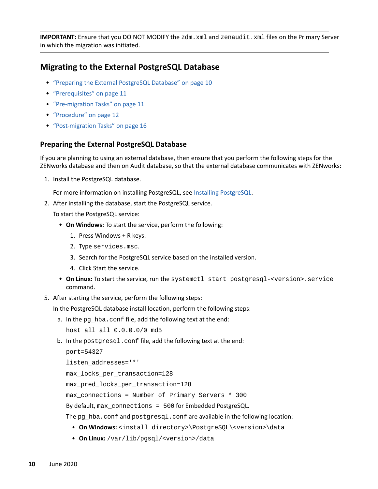**IMPORTANT:** Ensure that you DO NOT MODIFY the zdm.xml and zenaudit.xml files on the Primary Server in which the migration was initiated.

# <span id="page-9-0"></span>**Migrating to the External PostgreSQL Database**

- ["Preparing the External PostgreSQL Database" on page 10](#page-9-1)
- ["Prerequisites" on page 11](#page-10-0)
- ["Pre-migration Tasks" on page 11](#page-10-1)
- ["Procedure" on page 12](#page-11-0)
- ["Post-migration Tasks" on page 16](#page-15-1)

### <span id="page-9-1"></span>**Preparing the External PostgreSQL Database**

If you are planning to using an external database, then ensure that you perform the following steps for the ZENworks database and then on Audit database, so that the external database communicates with ZENworks:

1. Install the PostgreSQL database.

For more information on installing PostgreSQL, see [Installing PostgreSQL](#page-19-0).

2. After installing the database, start the PostgreSQL service.

To start the PostgreSQL service:

- **On Windows:** To start the service, perform the following:
	- 1. Press Windows + R keys.
	- 2. Type services.msc.
	- 3. Search for the PostgreSQL service based on the installed version.
	- 4. Click Start the service.
- **On Linux:** To start the service, run the systemctl start postgresql-<version>.service command.
- 5. After starting the service, perform the following steps:

In the PostgreSQL database install location, perform the following steps:

a. In the pg\_hba.conf file, add the following text at the end:

host all all 0.0.0.0/0 md5

b. In the postgresql.conf file, add the following text at the end:

```
port=54327
```

```
listen_addresses='*'
```
max\_locks\_per\_transaction=128

max\_pred\_locks\_per\_transaction=128

max\_connections = Number of Primary Servers \* 300

By default, max connections = 500 for Embedded PostgreSQL.

The pg\_hba.conf and postgresql.conf are available in the following location:

- **On Windows:** <install\_directory>\PostgreSQL\<version>\data
- **On Linux:** /var/lib/pgsql/<version>/data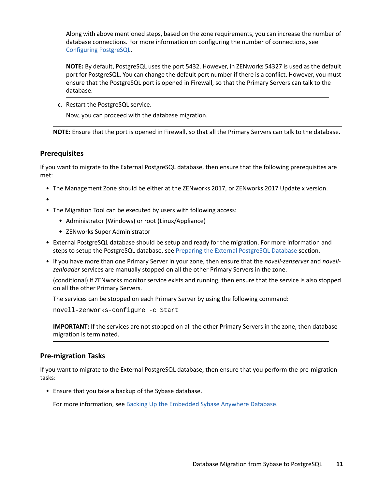Along with above mentioned steps, based on the zone requirements, you can increase the number of database connections. For more information on configuring the number of connections, see [Configuring PostgreSQL](https://www.novell.com/documentation/zenworks-2020-update-2/pdfdoc/zen_sys_db_mgmt/zen_sys_db_mgmt.pdf#t41rl5gf8qdv1).

**NOTE:** By default, PostgreSQL uses the port 5432. However, in ZENworks 54327 is used as the default port for PostgreSQL. You can change the default port number if there is a conflict. However, you must ensure that the PostgreSQL port is opened in Firewall, so that the Primary Servers can talk to the database.

c. Restart the PostgreSQL service.

Now, you can proceed with the database migration.

**NOTE:** Ensure that the port is opened in Firewall, so that all the Primary Servers can talk to the database.

### <span id="page-10-0"></span>**Prerequisites**

If you want to migrate to the External PostgreSQL database, then ensure that the following prerequisites are met:

The Management Zone should be either at the ZENworks 2017, or ZENworks 2017 Update x version.

 $\bullet$ 

- The Migration Tool can be executed by users with following access:
	- Administrator (Windows) or root (Linux/Appliance)
	- ZENworks Super Administrator
- External PostgreSQL database should be setup and ready for the migration. For more information and steps to setup the PostgreSQL database, see [Preparing the External PostgreSQL Database](#page-9-1) section.
- If you have more than one Primary Server in your zone, then ensure that the *novell-zenserver* and *novellzenloader* services are manually stopped on all the other Primary Servers in the zone.

(conditional) If ZENworks monitor service exists and running, then ensure that the service is also stopped on all the other Primary Servers.

The services can be stopped on each Primary Server by using the following command:

novell-zenworks-configure -c Start

**IMPORTANT:** If the services are not stopped on all the other Primary Servers in the zone, then database migration is terminated.

### <span id="page-10-1"></span>**Pre-migration Tasks**

If you want to migrate to the External PostgreSQL database, then ensure that you perform the pre-migration tasks:

Ensure that you take a backup of the Sybase database.

For more information, see [Backing Up the Embedded Sybase Anywhere Database](https://www.novell.com/documentation/zenworks-2017-update-4/zen_sys_db_mgmt/data/ban0rcu.html).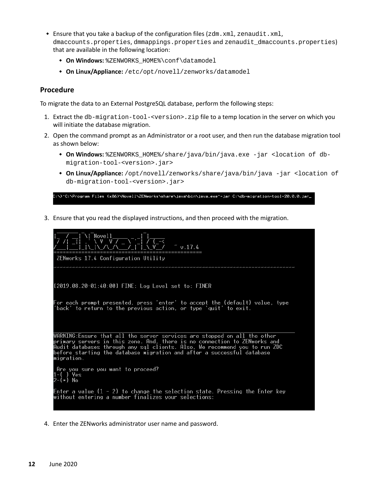- **Ensure that you take a backup of the configuration files (** $zdm$ ,  $xml$ ,  $z$ enaudit. $xml$ , dmaccounts.properties, dmmappings.properties and zenaudit\_dmaccounts.properties) that are available in the following location:
	- **On Windows:** %ZENWORKS\_HOME%\conf\datamodel
	- **On Linux/Appliance:** /etc/opt/novell/zenworks/datamodel

### <span id="page-11-0"></span>**Procedure**

To migrate the data to an External PostgreSQL database, perform the following steps:

- 1. Extract the db-migration-tool-<version>.zip file to a temp location in the server on which you will initiate the database migration.
- 2. Open the command prompt as an Administrator or a root user, and then run the database migration tool as shown below:
	- **On Windows:** %ZENWORKS\_HOME%/share/java/bin/java.exe -jar <location of dbmigration-tool-<version>.jar>
	- **On Linux/Appliance:** /opt/novell/zenworks/share/java/bin/java -jar <location of db-migration-tool-<version>.jar>

.<br>C:\>"C:\Program Files (x86)\Novell\ZENworks\share\java\bin\java.exe"-jar C:\db-migration-tool-20.0.0.jar\_

3. Ensure that you read the displayed instructions, and then proceed with the migration.



4. Enter the ZENworks administrator user name and password.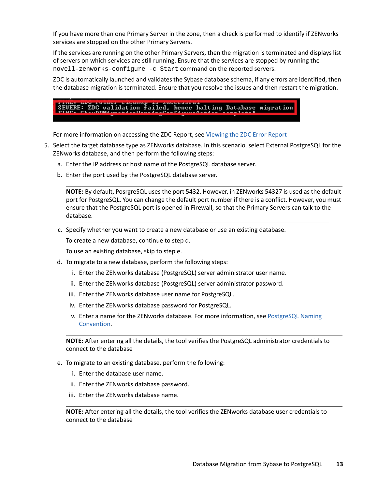If you have more than one Primary Server in the zone, then a check is performed to identify if ZENworks services are stopped on the other Primary Servers.

If the services are running on the other Primary Servers, then the migration is terminated and displays list of servers on which services are still running. Ensure that the services are stopped by running the novell-zenworks-configure -c Start command on the reported servers.

ZDC is automatically launched and validates the Sybase database schema, if any errors are identified, then the database migration is terminated. Ensure that you resolve the issues and then restart the migration.

# SEUERE: ZDC validation failed, hence halting Database migration

For more information on accessing the ZDC Report, see [Viewing the ZDC Error Report](#page-26-2)

- 5. Select the target database type as ZENworks database. In this scenario, select External PostgreSQL for the ZENworks database, and then perform the following steps:
	- a. Enter the IP address or host name of the PostgreSQL database server.
	- b. Enter the port used by the PostgreSQL database server.

**NOTE:** By default, PosrgreSQL uses the port 5432. However, in ZENworks 54327 is used as the default port for PostgreSQL. You can change the default port number if there is a conflict. However, you must ensure that the PostgreSQL port is opened in Firewall, so that the Primary Servers can talk to the database.

c. Specify whether you want to create a new database or use an existing database.

To create a new database, continue to step d.

To use an existing database, skip to step e.

- d. To migrate to a new database, perform the following steps:
	- i. Enter the ZENworks database (PostgreSQL) server administrator user name.
	- ii. Enter the ZENworks database (PostgreSQL) server administrator password.
	- iii. Enter the ZENworks database user name for PostgreSQL.
	- iv. Enter the ZENworks database password for PostgreSQL.
	- v. Enter a name for the ZENworks database. For more information, see [PostgreSQL Naming](#page-34-0)  [Convention.](#page-34-0)

**NOTE:** After entering all the details, the tool verifies the PostgreSQL administrator credentials to connect to the database

- e. To migrate to an existing database, perform the following:
	- i. Enter the database user name.
	- ii. Enter the ZENworks database password.
	- iii. Enter the ZENworks database name.

**NOTE:** After entering all the details, the tool verifies the ZENworks database user credentials to connect to the database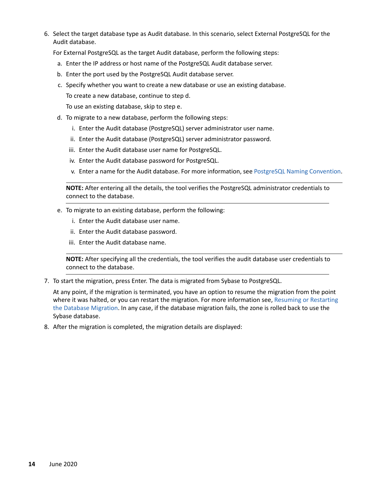6. Select the target database type as Audit database. In this scenario, select External PostgreSQL for the Audit database.

For External PostgreSQL as the target Audit database, perform the following steps:

- a. Enter the IP address or host name of the PostgreSQL Audit database server.
- b. Enter the port used by the PostgreSQL Audit database server.
- c. Specify whether you want to create a new database or use an existing database.

To create a new database, continue to step d.

To use an existing database, skip to step e.

- d. To migrate to a new database, perform the following steps:
	- i. Enter the Audit database (PostgreSQL) server administrator user name.
	- ii. Enter the Audit database (PostgreSQL) server administrator password.
	- iii. Enter the Audit database user name for PostgreSQL.
	- iv. Enter the Audit database password for PostgreSQL.
	- v. Enter a name for the Audit database. For more information, see [PostgreSQL Naming Convention](#page-34-0).

**NOTE:** After entering all the details, the tool verifies the PostgreSQL administrator credentials to connect to the database.

- e. To migrate to an existing database, perform the following:
	- i. Enter the Audit database user name.
	- ii. Enter the Audit database password.
	- iii. Enter the Audit database name.

**NOTE:** After specifying all the credentials, the tool verifies the audit database user credentials to connect to the database.

7. To start the migration, press Enter. The data is migrated from Sybase to PostgreSQL.

At any point, if the migration is terminated, you have an option to resume the migration from the point where it was halted, or you can restart the migration. For more information see, [Resuming or Restarting](#page-33-0)  [the Database Migration](#page-33-0). In any case, if the database migration fails, the zone is rolled back to use the Sybase database.

8. After the migration is completed, the migration details are displayed: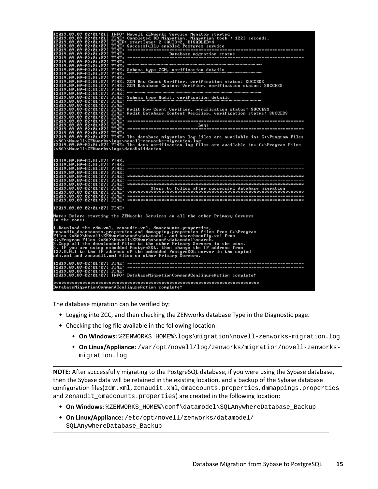|                                                                   | [2019.09.09-02:01:01] INFO: Novell ZENworks Service Monitor started<br>[2019.09.09-02:01:01] FINE: Completed DB Migration. Migration took: 1223 seconds.<br>[2019.09.09-02:01:07] FINER: startType: 2 (AUTO=2, DISABLED=4 |
|-------------------------------------------------------------------|---------------------------------------------------------------------------------------------------------------------------------------------------------------------------------------------------------------------------|
|                                                                   |                                                                                                                                                                                                                           |
| [2019.09.09-02:01:07] FINE:                                       |                                                                                                                                                                                                                           |
| [2019.09.09-02:01:07] FINE:                                       |                                                                                                                                                                                                                           |
| [2019.09.09-02:01:07] FINE:                                       |                                                                                                                                                                                                                           |
| [2019.09.09-02:01:07] FINE:<br>[2019.09.09-02:01:07] FINE:        | Schema type ZCM, verification details                                                                                                                                                                                     |
| [2019.09.09-02:01:07] FINE:                                       |                                                                                                                                                                                                                           |
| [2019.09.09-02:01:07] FINE:                                       |                                                                                                                                                                                                                           |
| [2019.09.09-02:01:07] FINE:<br>[2019.09.09-02:01:07] FINE:        | ZCM Row Count Verifier, verification status: SUCCESS<br>ZCM Database Content Verifier, verification status: SUCCESS                                                                                                       |
| [2019.09.09-02:01:07] FINE:                                       |                                                                                                                                                                                                                           |
| [2019.09.09-02:01:07] FINE:                                       |                                                                                                                                                                                                                           |
| [2019.09.09-02:01:07] FINE:<br>[2019.09.09-02:01:07] FINE:        | Schema type Audit, verification details<br>_____<br>www.www.www.www.www.ww                                                                                                                                                |
| [2019.09.09-02:01:07] FINE:                                       |                                                                                                                                                                                                                           |
| [2019.09.09-02:01:07] FINE:                                       | Audit Row Count Verifier, verification status: SUCCESS                                                                                                                                                                    |
|                                                                   | [2019.09.09-02:01:07] FINE: Audit Database Content Uerifier, verification status: SUCCESS                                                                                                                                 |
| [2019.09.09-02:01:07] FINE:                                       |                                                                                                                                                                                                                           |
|                                                                   |                                                                                                                                                                                                                           |
|                                                                   |                                                                                                                                                                                                                           |
| [2019.09.09-02:01:07] FINE:                                       |                                                                                                                                                                                                                           |
|                                                                   | [2019.09.09-02:01:07] FINE: The database migration log files are available in: C:\Program Files<br><x86>\Novell\ZENworks\logs\novell-zenworks-migration.log</x86>                                                         |
|                                                                   | [2019.09.09-02:01:07] FINE: The data verification log files are available in: C:\Program Files                                                                                                                            |
| <x86>\Novell\ZENworks\logs\dataValidation</x86>                   |                                                                                                                                                                                                                           |
| [2019.09.09-02:01:07] FINE:<br>[2019.09.09-02:01:07] FINE:        |                                                                                                                                                                                                                           |
|                                                                   |                                                                                                                                                                                                                           |
| [2019.09.09-02:01:07] FINE:                                       |                                                                                                                                                                                                                           |
|                                                                   |                                                                                                                                                                                                                           |
|                                                                   |                                                                                                                                                                                                                           |
| [2019.09.09-02:01:07] FINE:                                       | Steps to follow after successful database migration                                                                                                                                                                       |
| $[2019.09.09 - 02:01:07]$ FINE:<br>$12019.09.09 - 02:01:07$ FINE: |                                                                                                                                                                                                                           |
| [2019.09.09-02:01:07] FINE:                                       |                                                                                                                                                                                                                           |
| [2019.09.09-02:01:07] FINE:                                       |                                                                                                                                                                                                                           |
|                                                                   | Note: Before starting the ZENworks Services on all the other Primary Servers                                                                                                                                              |
| in the zone:                                                      |                                                                                                                                                                                                                           |
|                                                                   | 1.Download the zdm.xml, zenaudit.xml, dmaccounts.properties,                                                                                                                                                              |
|                                                                   | zenaudit_dmaccounts.properties and dmmapping.properties files from C:\Program<br>Files <x86>\Novell\ZENworks\conf\datamodel, and searchconfig.xml from</x86>                                                              |
|                                                                   |                                                                                                                                                                                                                           |
|                                                                   | C:\Program Files (x86)\Novell\ZENworks\conf\datamodel\search.<br>2.Copy all the downloaded files to the other Primary Servers in the zone.<br>3. If you are using embedded PostgreSQL, then change the IP address from    |
|                                                                   |                                                                                                                                                                                                                           |
|                                                                   | 127.0.0.1 to the IP address of the embedded PostgreSQL server in the copied<br>zdm.xml and zenaudit.xml files on other Primary Servers.                                                                                   |
|                                                                   |                                                                                                                                                                                                                           |
|                                                                   |                                                                                                                                                                                                                           |
|                                                                   |                                                                                                                                                                                                                           |
| [2019.09.09-02:01:07] FINE:                                       | [2019.09.09-02:01:07] INFO: DatabaseMigrationCommandConfigureAction complete!                                                                                                                                             |
|                                                                   |                                                                                                                                                                                                                           |
|                                                                   |                                                                                                                                                                                                                           |
| DatabaseMigrationCommandConfigureAction complete!                 |                                                                                                                                                                                                                           |

The database migration can be verified by:

- Logging into ZCC, and then checking the ZENworks database Type in the Diagnostic page.
- Checking the log file available in the following location:
	- **On Windows:** %ZENWORKS\_HOME%\logs\migration\novell-zenworks-migration.log
	- **On Linux/Appliance:** /var/opt/novell/log/zenworks/migration/novell-zenworksmigration.log

**NOTE:** After successfully migrating to the PostgreSQL database, if you were using the Sybase database, then the Sybase data will be retained in the existing location, and a backup of the Sybase database configuration files(zdm.xml, zenaudit.xml, dmaccounts.properties, dmmappings.properties and zenaudit\_dmaccounts.properties) are created in the following location:

- **On Windows:** %ZENWORKS\_HOME%\conf\datamodel\SQLAnywhereDatabase\_Backup
- **On Linux/Appliance:** /etc/opt/novell/zenworks/datamodel/ SQLAnywhereDatabase\_Backup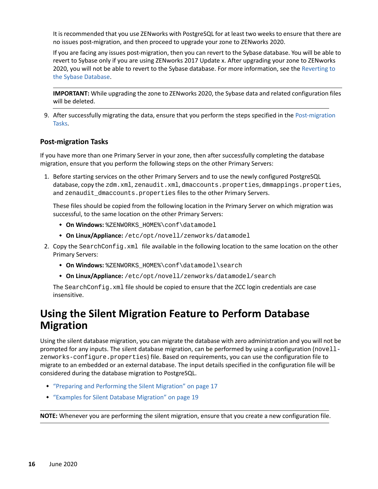It is recommended that you use ZENworks with PostgreSQL for at least two weeks to ensure that there are no issues post-migration, and then proceed to upgrade your zone to ZENworks 2020.

If you are facing any issues post-migration, then you can revert to the Sybase database. You will be able to revert to Sybase only if you are using ZENworks 2017 Update x. After upgrading your zone to ZENworks 2020, you will not be able to revert to the Sybase database. For more information, see the [Reverting to](#page-24-0)  [the Sybase Database](#page-24-0).

**IMPORTANT:** While upgrading the zone to ZENworks 2020, the Sybase data and related configuration files will be deleted.

9. After successfully migrating the data, ensure that you perform the steps specified in the [Post-migration](#page-15-1)  [Tasks](#page-15-1).

### <span id="page-15-1"></span>**Post-migration Tasks**

If you have more than one Primary Server in your zone, then after successfully completing the database migration, ensure that you perform the following steps on the other Primary Servers:

1. Before starting services on the other Primary Servers and to use the newly configured PostgreSQL database, copy the zdm.xml, zenaudit.xml, dmaccounts.properties, dmmappings.properties, and zenaudit\_dmaccounts.properties files to the other Primary Servers.

These files should be copied from the following location in the Primary Server on which migration was successful, to the same location on the other Primary Servers:

- **On Windows:** %ZENWORKS\_HOME%\conf\datamodel
- **On Linux/Appliance:** /etc/opt/novell/zenworks/datamodel
- 2. Copy the SearchConfig.xml file available in the following location to the same location on the other Primary Servers:
	- **On Windows:** %ZENWORKS\_HOME%\conf\datamodel\search
	- **On Linux/Appliance:** /etc/opt/novell/zenworks/datamodel/search

The SearchConfig.xml file should be copied to ensure that the ZCC login credentials are case insensitive.

# <span id="page-15-0"></span>**Using the Silent Migration Feature to Perform Database Migration**

Using the silent database migration, you can migrate the database with zero administration and you will not be prompted for any inputs. The silent database migration, can be performed by using a configuration (novellzenworks-configure.properties) file. Based on requirements, you can use the configuration file to migrate to an embedded or an external database. The input details specified in the configuration file will be considered during the database migration to PostgreSQL.

- ["Preparing and Performing the Silent Migration" on page 17](#page-16-0)
- ["Examples for Silent Database Migration" on page 19](#page-18-0)

**NOTE:** Whenever you are performing the silent migration, ensure that you create a new configuration file.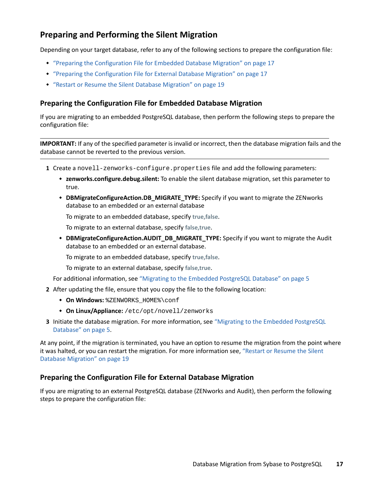# <span id="page-16-0"></span>**Preparing and Performing the Silent Migration**

Depending on your target database, refer to any of the following sections to prepare the configuration file:

- ["Preparing the Configuration File for Embedded Database Migration" on page 17](#page-16-1)
- ["Preparing the Configuration File for External Database Migration" on page 17](#page-16-2)
- ["Restart or Resume the Silent Database Migration" on page 19](#page-18-1)

### <span id="page-16-1"></span>**Preparing the Configuration File for Embedded Database Migration**

If you are migrating to an embedded PostgreSQL database, then perform the following steps to prepare the configuration file:

**IMPORTANT:** If any of the specified parameter is invalid or incorrect, then the database migration fails and the database cannot be reverted to the previous version.

- **1** Create a novell-zenworks-configure.properties file and add the following parameters:
	- **zenworks.configure.debug.silent:** To enable the silent database migration, set this parameter to true.
	- **DBMigrateConfigureAction.DB\_MIGRATE\_TYPE:** Specify if you want to migrate the ZENworks database to an embedded or an external database

To migrate to an embedded database, specify **true,false**.

To migrate to an external database, specify **false,true**.

**DBMigrateConfigureAction.AUDIT\_DB\_MIGRATE\_TYPE:** Specify if you want to migrate the Audit database to an embedded or an external database.

To migrate to an embedded database, specify **true,false**.

To migrate to an external database, specify **false,true**.

For additional information, see ["Migrating to the Embedded PostgreSQL Database" on page 5](#page-4-0)

- **2** After updating the file, ensure that you copy the file to the following location:
	- **On Windows:** %ZENWORKS\_HOME%\conf
	- **On Linux/Appliance:** /etc/opt/novell/zenworks
- **3** Initiate the database migration. For more information, see ["Migrating to the Embedded PostgreSQL](#page-4-0)  [Database" on page 5](#page-4-0).

At any point, if the migration is terminated, you have an option to resume the migration from the point where it was halted, or you can restart the migration. For more information see, ["Restart or Resume the Silent](#page-18-1)  [Database Migration" on page 19](#page-18-1)

### <span id="page-16-2"></span>**Preparing the Configuration File for External Database Migration**

If you are migrating to an external PostgreSQL database (ZENworks and Audit), then perform the following steps to prepare the configuration file: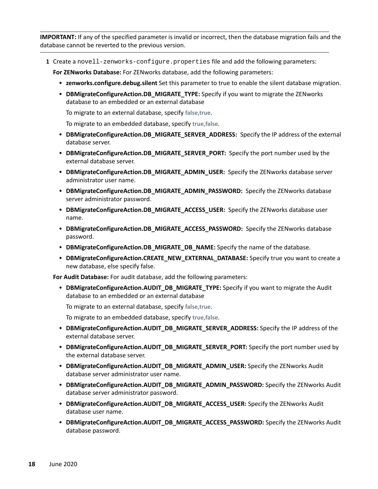**IMPORTANT:** If any of the specified parameter is invalid or incorrect, then the database migration fails and the database cannot be reverted to the previous version.

**1** Create a novell-zenworks-configure.properties file and add the following parameters:

**For ZENworks Database:** For ZENworks database, add the following parameters:

- **zenworks.configure.debug.silent** Set this parameter to true to enable the silent database migration.
- **DBMigrateConfigureAction.DB\_MIGRATE\_TYPE:** Specify if you want to migrate the ZENworks database to an embedded or an external database

To migrate to an external database, specify **false,true**.

To migrate to an embedded database, specify **true,false**.

- **DBMigrateConfigureAction.DB\_MIGRATE\_SERVER\_ADDRESS:** Specify the IP address of the external database server.
- **DBMigrateConfigureAction.DB\_MIGRATE\_SERVER\_PORT:** Specify the port number used by the external database server.
- **DBMigrateConfigureAction.DB\_MIGRATE\_ADMIN\_USER:** Specify the ZENworks database server administrator user name.
- **DBMigrateConfigureAction.DB\_MIGRATE\_ADMIN\_PASSWORD:** Specify the ZENworks database server administrator password.
- **DBMigrateConfigureAction.DB\_MIGRATE\_ACCESS\_USER:** Specify the ZENworks database user name.
- **DBMigrateConfigureAction.DB\_MIGRATE\_ACCESS\_PASSWORD:** Specify the ZENworks database password.
- **DBMigrateConfigureAction.DB\_MIGRATE\_DB\_NAME:** Specify the name of the database.
- **DBMigrateConfigureAction.CREATE\_NEW\_EXTERNAL\_DATABASE:** Specify true you want to create a new database, else specify false.

**For Audit Database:** For audit database, add the following parameters:

 **DBMigrateConfigureAction.AUDIT\_DB\_MIGRATE\_TYPE:** Specify if you want to migrate the Audit database to an embedded or an external database

To migrate to an external database, specify **false,true**.

To migrate to an embedded database, specify **true,false**.

- **DBMigrateConfigureAction.AUDIT\_DB\_MIGRATE\_SERVER\_ADDRESS:** Specify the IP address of the external database server.
- **DBMigrateConfigureAction.AUDIT\_DB\_MIGRATE\_SERVER\_PORT:** Specify the port number used by the external database server.
- **DBMigrateConfigureAction.AUDIT\_DB\_MIGRATE\_ADMIN\_USER:** Specify the ZENworks Audit database server administrator user name.
- **DBMigrateConfigureAction.AUDIT\_DB\_MIGRATE\_ADMIN\_PASSWORD:** Specify the ZENworks Audit database server administrator password.
- **DBMigrateConfigureAction.AUDIT\_DB\_MIGRATE\_ACCESS\_USER:** Specify the ZENworks Audit database user name.
- **DBMigrateConfigureAction.AUDIT\_DB\_MIGRATE\_ACCESS\_PASSWORD:** Specify the ZENworks Audit database password.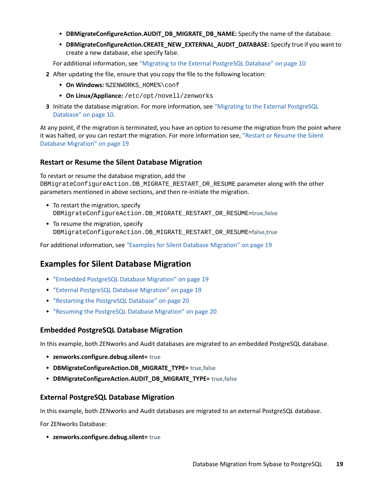- **DBMigrateConfigureAction.AUDIT\_DB\_MIGRATE\_DB\_NAME:** Specify the name of the database.
- **DBMigrateConfigureAction.CREATE\_NEW\_EXTERNAL\_AUDIT\_DATABASE:** Specify true if you want to create a new database, else specify false.

For additional information, see ["Migrating to the External PostgreSQL Database" on page 10](#page-9-0)

- **2** After updating the file, ensure that you copy the file to the following location:
	- **On Windows:** %ZENWORKS\_HOME%\conf
	- **On Linux/Appliance:** /etc/opt/novell/zenworks
- **3** Initiate the database migration. For more information, see ["Migrating to the External PostgreSQL](#page-9-0)  [Database" on page 10.](#page-9-0)

At any point, if the migration is terminated, you have an option to resume the migration from the point where it was halted, or you can restart the migration. For more information see, ["Restart or Resume the Silent](#page-18-1)  [Database Migration" on page 19](#page-18-1)

### <span id="page-18-1"></span>**Restart or Resume the Silent Database Migration**

To restart or resume the database migration, add the

DBMigrateConfigureAction.DB\_MIGRATE\_RESTART\_OR\_RESUME parameter along with the other parameters mentioned in above sections, and then re-initiate the migration.

- $\bullet$  To restart the migration, specify DBMigrateConfigureAction.DB\_MIGRATE\_RESTART\_OR\_RESUME=**true,false**
- To resume the migration, specify DBMigrateConfigureAction.DB\_MIGRATE\_RESTART\_OR\_RESUME=**false,true**

For additional information, see ["Examples for Silent Database Migration" on page 19](#page-18-0)

### <span id="page-18-0"></span>**Examples for Silent Database Migration**

- ["Embedded PostgreSQL Database Migration" on page 19](#page-18-2)
- ["External PostgreSQL Database Migration" on page 19](#page-18-3)
- ["Restarting the PostgreSQL Database" on page 20](#page-19-1)
- ["Resuming the PostgreSQL Database Migration" on page 20](#page-19-2)

### <span id="page-18-2"></span>**Embedded PostgreSQL Database Migration**

In this example, both ZENworks and Audit databases are migrated to an embedded PostgreSQL database.

- **zenworks.configure.debug.silent= true**
- **DBMigrateConfigureAction.DB\_MIGRATE\_TYPE= true,false**
- **DBMigrateConfigureAction.AUDIT\_DB\_MIGRATE\_TYPE= true,false**

### <span id="page-18-3"></span>**External PostgreSQL Database Migration**

In this example, both ZENworks and Audit databases are migrated to an external PostgreSQL database.

For ZENworks Database:

**zenworks.configure.debug.silent= true**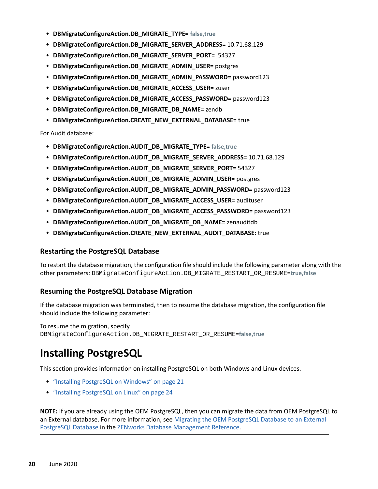- **DBMigrateConfigureAction.DB\_MIGRATE\_TYPE= false,true**
- **DBMigrateConfigureAction.DB\_MIGRATE\_SERVER\_ADDRESS=** 10.71.68.129
- **DBMigrateConfigureAction.DB\_MIGRATE\_SERVER\_PORT=** 54327
- **DBMigrateConfigureAction.DB\_MIGRATE\_ADMIN\_USER=** postgres
- **DBMigrateConfigureAction.DB\_MIGRATE\_ADMIN\_PASSWORD=** password123
- **DBMigrateConfigureAction.DB\_MIGRATE\_ACCESS\_USER=** zuser
- **DBMigrateConfigureAction.DB\_MIGRATE\_ACCESS\_PASSWORD=** password123
- **DBMigrateConfigureAction.DB\_MIGRATE\_DB\_NAME=** zendb
- **DBMigrateConfigureAction.CREATE\_NEW\_EXTERNAL\_DATABASE=** true

For Audit database:

- **DBMigrateConfigureAction.AUDIT\_DB\_MIGRATE\_TYPE= false,true**
- **DBMigrateConfigureAction.AUDIT\_DB\_MIGRATE\_SERVER\_ADDRESS=** 10.71.68.129
- **DBMigrateConfigureAction.AUDIT\_DB\_MIGRATE\_SERVER\_PORT=** 54327
- **DBMigrateConfigureAction.AUDIT\_DB\_MIGRATE\_ADMIN\_USER=** postgres
- **DBMigrateConfigureAction.AUDIT\_DB\_MIGRATE\_ADMIN\_PASSWORD=** password123
- **DBMigrateConfigureAction.AUDIT\_DB\_MIGRATE\_ACCESS\_USER=** audituser
- **DBMigrateConfigureAction.AUDIT\_DB\_MIGRATE\_ACCESS\_PASSWORD=** password123
- **DBMigrateConfigureAction.AUDIT\_DB\_MIGRATE\_DB\_NAME=** zenauditdb
- **DBMigrateConfigureAction.CREATE\_NEW\_EXTERNAL\_AUDIT\_DATABASE:** true

### <span id="page-19-1"></span>**Restarting the PostgreSQL Database**

To restart the database migration, the configuration file should include the following parameter along with the other parameters: DBMigrateConfigureAction.DB\_MIGRATE\_RESTART\_OR\_RESUME=**true,false**

### <span id="page-19-2"></span>**Resuming the PostgreSQL Database Migration**

If the database migration was terminated, then to resume the database migration, the configuration file should include the following parameter:

To resume the migration, specify DBMigrateConfigureAction.DB\_MIGRATE\_RESTART\_OR\_RESUME=**false,true**

# <span id="page-19-0"></span>**Installing PostgreSQL**

This section provides information on installing PostgreSQL on both Windows and Linux devices.

- ["Installing PostgreSQL on Windows" on page 21](#page-20-0)
- ["Installing PostgreSQL on Linux" on page 24](#page-23-0)

**NOTE:** If you are already using the OEM PostgreSQL, then you can migrate the data from OEM PostgreSQL to an External database. For more information, see [Migrating the OEM PostgreSQL Database to an External](https://www.novell.com/documentation/zenworks-2020-update-2/pdfdoc/zen_sys_db_mgmt/zen_sys_db_mgmt.pdf#t4bhxnrs8y1a)  [PostgreSQL Database](https://www.novell.com/documentation/zenworks-2020-update-2/pdfdoc/zen_sys_db_mgmt/zen_sys_db_mgmt.pdf#t4bhxnrs8y1a) in the [ZENworks Database Management Reference.](https://www.novell.com/documentation/zenworks-2020-update-2/pdfdoc/zen_sys_db_mgmt/zen_sys_db_mgmt.pdf#bookinfo)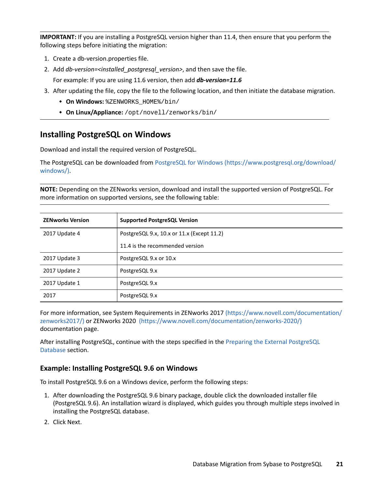**IMPORTANT:** If you are installing a PostgreSQL version higher than 11.4, then ensure that you perform the following steps before initiating the migration:

- 1. Create a db-version.properties file.
- 2. Add *db-version=<installed\_postgresql\_version>*, and then save the file.
	- For example: If you are using 11.6 version, then add *db-version=11.6*
- 3. After updating the file, copy the file to the following location, and then initiate the database migration.
	- **On Windows:** %ZENWORKS\_HOME%/bin/
	- **On Linux/Appliance:** /opt/novell/zenworks/bin/

### <span id="page-20-0"></span>**Installing PostgreSQL on Windows**

Download and install the required version of PostgreSQL.

The PostgreSQL can be downloaded from [PostgreSQL for Windows](https://www.postgresql.org/download/windows/) (https://www.postgresql.org/download/ windows/).

**NOTE:** Depending on the ZENworks version, download and install the supported version of PostgreSQL. For more information on supported versions, see the following table:

| <b>ZENworks Version</b> | <b>Supported PostgreSQL Version</b>        |
|-------------------------|--------------------------------------------|
| 2017 Update 4           | PostgreSQL 9.x, 10.x or 11.x (Except 11.2) |
|                         | 11.4 is the recommended version            |
| 2017 Update 3           | PostgreSQL 9.x or 10.x                     |
| 2017 Update 2           | PostgreSQL 9.x                             |
| 2017 Update 1           | PostgreSQL 9.x                             |
| 2017                    | PostgreSQL 9.x                             |

For more information, see System Requirements in ZENworks 2017 (https://www.novell.com/documentation/ zenworks2017/) or ZENworks 2020 (https://www.novell.com/documentation/zenworks-2020/) documentation page.

After installing PostgreSQL, continue with the steps specified in the [Preparing the External PostgreSQL](#page-9-1)  [Database](#page-9-1) section.

### **Example: Installing PostgreSQL 9.6 on Windows**

To install PostgreSQL 9.6 on a Windows device, perform the following steps:

- 1. After downloading the PostgreSQL 9.6 binary package, double click the downloaded installer file (PostgreSQL 9.6). An installation wizard is displayed, which guides you through multiple steps involved in installing the PostgreSQL database.
- 2. Click Next.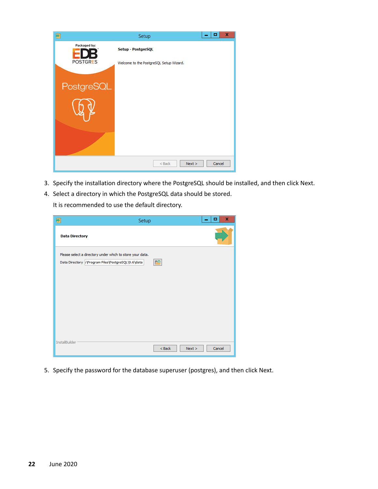| 割                               | Setup                                                         | x<br>o |
|---------------------------------|---------------------------------------------------------------|--------|
| Packaged by:<br><b>POSTGRES</b> | Setup - PostgreSQL<br>Welcome to the PostgreSQL Setup Wizard. |        |
| PostgreSQL                      |                                                               |        |
|                                 |                                                               |        |
|                                 |                                                               |        |
|                                 | $Back$<br>Next                                                | Cancel |

- 3. Specify the installation directory where the PostgreSQL should be installed, and then click Next.
- 4. Select a directory in which the PostgreSQL data should be stored.

It is recommended to use the default directory.

| ÷                     | Setup                                                                                                          |           |        | ×<br>▫ |
|-----------------------|----------------------------------------------------------------------------------------------------------------|-----------|--------|--------|
| <b>Data Directory</b> |                                                                                                                |           |        |        |
|                       | Please select a directory under which to store your data.<br>Data Directory: Program Files PostgreSQL\9.6\data | <b>RO</b> |        |        |
|                       |                                                                                                                |           |        |        |
|                       |                                                                                                                |           |        |        |
|                       |                                                                                                                |           |        |        |
|                       |                                                                                                                |           |        |        |
|                       |                                                                                                                |           |        |        |
| InstallBuilder        |                                                                                                                | $<$ Back  | Next > | Cancel |

5. Specify the password for the database superuser (postgres), and then click Next.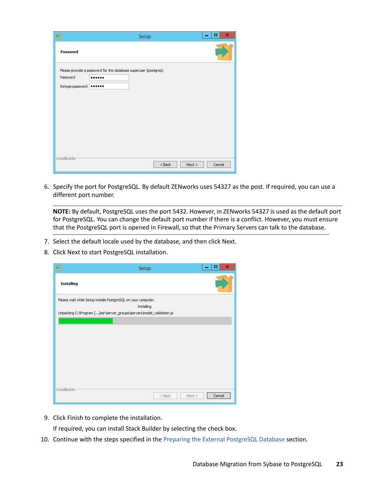| ÷                           | Setup                                                                | x<br>▫ |
|-----------------------------|----------------------------------------------------------------------|--------|
| <b>Password</b>             |                                                                      |        |
| Password<br>Retype password | Please provide a password for the database superuser (postgres).<br> |        |
| InstallBuilder              | $<$ Back<br>Next >                                                   | Cancel |

6. Specify the port for PostgreSQL. By default ZENworks uses 54327 as the post. If required, you can use a different port number.

**NOTE:** By default, PostgreSQL uses the port 5432. However, in ZENworks 54327 is used as the default port for PostgreSQL. You can change the default port number if there is a conflict. However, you must ensure that the PostgreSQL port is opened in Firewall, so that the Primary Servers can talk to the database.

- 7. Select the default locale used by the database, and then click Next.
- 8. Click Next to start PostgreSQL installation.

| Ð                 | Setup                                                                | ×<br>о                                       |
|-------------------|----------------------------------------------------------------------|----------------------------------------------|
| <b>Installing</b> |                                                                      |                                              |
|                   | Please wait while Setup installs PostgreSQL on your computer.        |                                              |
|                   | Installing                                                           |                                              |
|                   | Unpacking C:\Program []ser\server_groups\servers\model_validation.js |                                              |
|                   |                                                                      |                                              |
|                   |                                                                      |                                              |
|                   |                                                                      |                                              |
|                   |                                                                      |                                              |
|                   |                                                                      |                                              |
|                   |                                                                      |                                              |
|                   |                                                                      |                                              |
|                   |                                                                      |                                              |
|                   |                                                                      |                                              |
|                   |                                                                      |                                              |
| InstallBuilder    | $<$ Back<br>Next                                                     | ,,,,,,,,,,,,,,,,,,,,,,,,,,,,,,,,,,<br>Cancel |
|                   |                                                                      |                                              |

9. Click Finish to complete the installation.

If required, you can install Stack Builder by selecting the check box.

10. Continue with the steps specified in the [Preparing the External PostgreSQL Database](#page-9-1) section.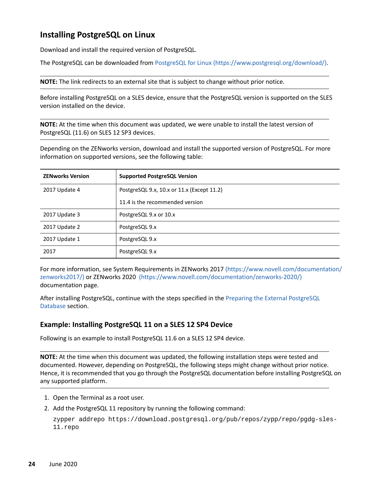### <span id="page-23-0"></span>**Installing PostgreSQL on Linux**

Download and install the required version of PostgreSQL.

The PostgreSQL can be downloaded from [PostgreSQL for Linux](https://www.postgresql.org/download/) (https://www.postgresql.org/download/).

**NOTE:** The link redirects to an external site that is subject to change without prior notice.

Before installing PostgreSQL on a SLES device, ensure that the PostgreSQL version is supported on the SLES version installed on the device.

**NOTE:** At the time when this document was updated, we were unable to install the latest version of PostgreSQL (11.6) on SLES 12 SP3 devices.

Depending on the ZENworks version, download and install the supported version of PostgreSQL. For more information on supported versions, see the following table:

| <b>ZENworks Version</b> | <b>Supported PostgreSQL Version</b>        |
|-------------------------|--------------------------------------------|
| 2017 Update 4           | PostgreSQL 9.x, 10.x or 11.x (Except 11.2) |
|                         | 11.4 is the recommended version            |
| 2017 Update 3           | PostgreSQL 9.x or 10.x                     |
| 2017 Update 2           | PostgreSQL 9.x                             |
| 2017 Update 1           | PostgreSQL 9.x                             |
| 2017                    | PostgreSQL 9.x                             |

For more information, see System Requirements in ZENworks 2017 (https://www.novell.com/documentation/ zenworks2017/) or ZENworks 2020 (https://www.novell.com/documentation/zenworks-2020/) documentation page.

After installing PostgreSQL, continue with the steps specified in the [Preparing the External PostgreSQL](#page-9-1)  [Database](#page-9-1) section.

### **Example: Installing PostgreSQL 11 on a SLES 12 SP4 Device**

Following is an example to install PostgreSQL 11.6 on a SLES 12 SP4 device.

**NOTE:** At the time when this document was updated, the following installation steps were tested and documented. However, depending on PostgreSQL, the following steps might change without prior notice. Hence, it is recommended that you go through the PostgreSQL documentation before installing PostgreSQL on any supported platform.

- 1. Open the Terminal as a root user.
- 2. Add the PostgreSQL 11 repository by running the following command:

```
zypper addrepo https://download.postgresql.org/pub/repos/zypp/repo/pgdg-sles-
11.repo
```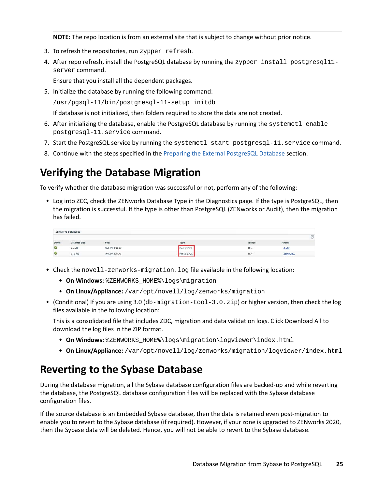**NOTE:** The repo location is from an external site that is subject to change without prior notice.

- 3. To refresh the repositories, run zypper refresh.
- 4. After repo refresh, install the PostgreSQL database by running the zypper install postgresgl11server command.

Ensure that you install all the dependent packages.

5. Initialize the database by running the following command:

/usr/pgsql-11/bin/postgresql-11-setup initdb

If database is not initialized, then folders required to store the data are not created.

- 6. After initializing the database, enable the PostgreSQL database by running the systemctl enable postgresql-11.service command.
- 7. Start the PostgreSQL service by running the systemctl start postgresql-11. service command.
- 8. Continue with the steps specified in the [Preparing the External PostgreSQL Database](#page-9-1) section.

# <span id="page-24-1"></span>**Verifying the Database Migration**

To verify whether the database migration was successful or not, perform any of the following:

 Log into ZCC, check the ZENworks Database Type in the Diagnostics page. If the type is PostgreSQL, then the migration is successful. If the type is other than PostgreSQL (ZENworks or Audit), then the migration has failed.

|        | <b>ZENworks Databases</b> |                  |                   |         |           | 63 |
|--------|---------------------------|------------------|-------------------|---------|-----------|----|
|        |                           |                  |                   |         |           |    |
| Status | Database Size             | Host             | Type              | Version | Schema    |    |
| ø      | 26.MB                     | 164.99.138.97    | <b>PostereSOL</b> | 11.4    | Audit     |    |
| ø      | 376 MB                    | 164, 99, 138, 97 | PostgreSQL        | 11.4    | ZENvorles |    |

- Check the novell-zenworks-migration. log file available in the following location:
	- **On Windows:** %ZENWORKS\_HOME%\logs\migration
	- **On Linux/Appliance:** /var/opt/novell/log/zenworks/migration
- (Conditional) If you are using 3.0 (db-migration-tool-3.0.zip) or higher version, then check the log files available in the following location:

This is a consolidated file that includes ZDC, migration and data validation logs. Click Download All to download the log files in the ZIP format.

- **On Windows:** %ZENWORKS\_HOME%\logs\migration\logviewer\index.html
- **On Linux/Appliance:** /var/opt/novell/log/zenworks/migration/logviewer/index.html

# <span id="page-24-0"></span>**Reverting to the Sybase Database**

During the database migration, all the Sybase database configuration files are backed-up and while reverting the database, the PostgreSQL database configuration files will be replaced with the Sybase database configuration files.

If the source database is an Embedded Sybase database, then the data is retained even post-migration to enable you to revert to the Sybase database (if required). However, if your zone is upgraded to ZENworks 2020, then the Sybase data will be deleted. Hence, you will not be able to revert to the Sybase database.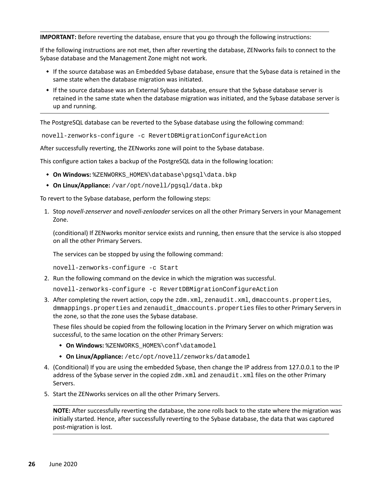**IMPORTANT:** Before reverting the database, ensure that you go through the following instructions:

If the following instructions are not met, then after reverting the database, ZENworks fails to connect to the Sybase database and the Management Zone might not work.

- If the source database was an Embedded Sybase database, ensure that the Sybase data is retained in the same state when the database migration was initiated.
- If the source database was an External Sybase database, ensure that the Sybase database server is retained in the same state when the database migration was initiated, and the Sybase database server is up and running.

The PostgreSQL database can be reverted to the Sybase database using the following command:

novell-zenworks-configure -c RevertDBMigrationConfigureAction

After successfully reverting, the ZENworks zone will point to the Sybase database.

This configure action takes a backup of the PostgreSQL data in the following location:

- **On Windows:** %ZENWORKS\_HOME%\database\pgsql\data.bkp
- **On Linux/Appliance:** /var/opt/novell/pgsql/data.bkp

To revert to the Sybase database, perform the following steps:

1. Stop *novell-zenserver* and *novell-zenloader* services on all the other Primary Servers in your Management Zone.

(conditional) If ZENworks monitor service exists and running, then ensure that the service is also stopped on all the other Primary Servers.

The services can be stopped by using the following command:

novell-zenworks-configure -c Start

2. Run the following command on the device in which the migration was successful.

novell-zenworks-configure -c RevertDBMigrationConfigureAction

3. After completing the revert action, copy the zdm.xml, zenaudit.xml, dmaccounts.properties, dmmappings.properties and zenaudit\_dmaccounts.properties files to other Primary Servers in the zone, so that the zone uses the Sybase database.

These files should be copied from the following location in the Primary Server on which migration was successful, to the same location on the other Primary Servers:

- **On Windows:** %ZENWORKS\_HOME%\conf\datamodel
- **On Linux/Appliance:** /etc/opt/novell/zenworks/datamodel
- 4. (Conditional) If you are using the embedded Sybase, then change the IP address from 127.0.0.1 to the IP address of the Sybase server in the copied zdm. xml and zenaudit. xml files on the other Primary Servers.
- 5. Start the ZENworks services on all the other Primary Servers.

**NOTE:** After successfully reverting the database, the zone rolls back to the state where the migration was initially started. Hence, after successfully reverting to the Sybase database, the data that was captured post-migration is lost.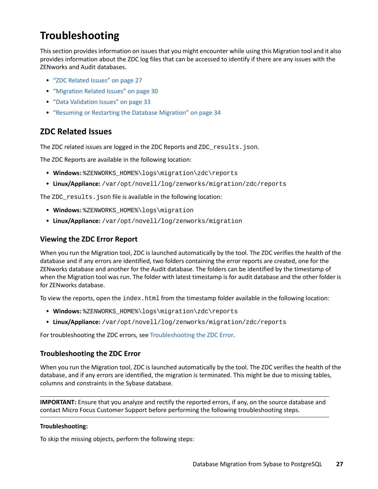# <span id="page-26-0"></span>**Troubleshooting**

This section provides information on issues that you might encounter while using this Migration tool and it also provides information about the ZDC log files that can be accessed to identify if there are any issues with the ZENworks and Audit databases.

- ["ZDC Related Issues" on page 27](#page-26-3)
- ["Migration Related Issues" on page 30](#page-29-0)
- ["Data Validation Issues" on page 33](#page-32-0)
- ["Resuming or Restarting the Database Migration" on page 34](#page-33-0)

### <span id="page-26-3"></span>**ZDC Related Issues**

The ZDC related issues are logged in the ZDC Reports and ZDC\_results.json.

The ZDC Reports are available in the following location:

- **Windows:** %ZENWORKS\_HOME%\logs\migration\zdc\reports
- **Linux/Appliance:** /var/opt/novell/log/zenworks/migration/zdc/reports

The ZDC\_results.json file is available in the following location:

- **Windows:** %ZENWORKS\_HOME%\logs\migration
- **Linux/Appliance:** /var/opt/novell/log/zenworks/migration

### <span id="page-26-2"></span>**Viewing the ZDC Error Report**

When you run the Migration tool, ZDC is launched automatically by the tool. The ZDC verifies the health of the database and if any errors are identified, two folders containing the error reports are created, one for the ZENworks database and another for the Audit database. The folders can be identified by the timestamp of when the Migration tool was run. The folder with latest timestamp is for audit database and the other folder is for ZENworks database.

To view the reports, open the index.html from the timestamp folder available in the following location:

- **Windows:** %ZENWORKS\_HOME%\logs\migration\zdc\reports
- **Linux/Appliance:** /var/opt/novell/log/zenworks/migration/zdc/reports

For troubleshooting the ZDC errors, see [Troubleshooting the ZDC Error](#page-26-1).

### <span id="page-26-1"></span>**Troubleshooting the ZDC Error**

When you run the Migration tool, ZDC is launched automatically by the tool. The ZDC verifies the health of the database, and if any errors are identified, the migration is terminated. This might be due to missing tables, columns and constraints in the Sybase database.

**IMPORTANT:** Ensure that you analyze and rectify the reported errors, if any, on the source database and contact Micro Focus Customer Support before performing the following troubleshooting steps.

### **Troubleshooting:**

To skip the missing objects, perform the following steps: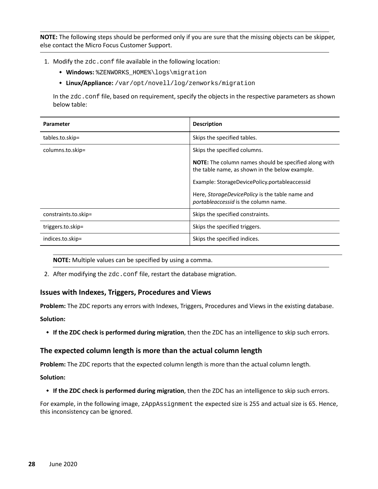**NOTE:** The following steps should be performed only if you are sure that the missing objects can be skipper, else contact the Micro Focus Customer Support.

- 1. Modify the zdc.conf file available in the following location:
	- **Windows:** %ZENWORKS\_HOME%\logs\migration
	- **Linux/Appliance:** /var/opt/novell/log/zenworks/migration

In the zdc.conf file, based on requirement, specify the objects in the respective parameters as shown below table:

| Parameter            | <b>Description</b>                                                                                      |
|----------------------|---------------------------------------------------------------------------------------------------------|
| tables.to.skip=      | Skips the specified tables.                                                                             |
| columns.to.skip=     | Skips the specified columns.                                                                            |
|                      | NOTE: The column names should be specified along with<br>the table name, as shown in the below example. |
|                      | Example: StorageDevicePolicy.portableaccessid                                                           |
|                      | Here, StorageDevicePolicy is the table name and<br>portableaccessid is the column name.                 |
| constraints.to.skip= | Skips the specified constraints.                                                                        |
| triggers.to.skip=    | Skips the specified triggers.                                                                           |
| indices.to.skip=     | Skips the specified indices.                                                                            |

**NOTE:** Multiple values can be specified by using a comma.

2. After modifying the zdc.conf file, restart the database migration.

### **Issues with Indexes, Triggers, Procedures and Views**

**Problem:** The ZDC reports any errors with Indexes, Triggers, Procedures and Views in the existing database. **Solution:** 

**If the ZDC check is performed during migration**, then the ZDC has an intelligence to skip such errors.

### **The expected column length is more than the actual column length**

**Problem:** The ZDC reports that the expected column length is more than the actual column length.

**Solution:** 

**If the ZDC check is performed during migration**, then the ZDC has an intelligence to skip such errors.

For example, in the following image, zAppAssignment the expected size is 255 and actual size is 65. Hence, this inconsistency can be ignored.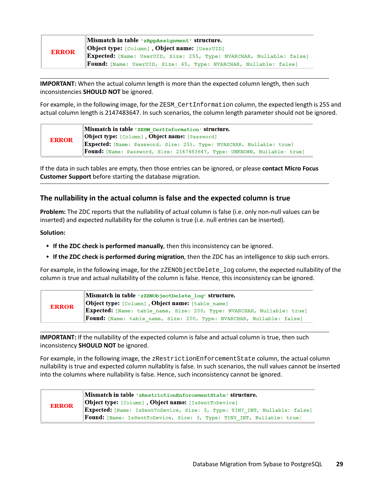|              | Mismatch in table 'zAppAssignment' structure.                            |
|--------------|--------------------------------------------------------------------------|
| <b>ERROR</b> | <b>Object type:</b> [Column], Object name: [UserUID]                     |
|              | Expected: [Name: UserUID, Size: 255, Type: NVARCHAR, Nullable: false]    |
|              | <b>Found:</b> [Name: UserUID, Size: 65, Type: NVARCHAR, Nullable: false] |

**IMPORTANT:** When the actual column length is more than the expected column length, then such inconsistencies **SHOULD NOT** be ignored.

For example, in the following image, for the ZESM\_CertInformation column, the expected length is 255 and actual column length is 2147483647. In such scenarios, the column length parameter should not be ignored.

| <b>ERROR</b> | Mismatch in table 'ZESM CertInformation' structure.                             |
|--------------|---------------------------------------------------------------------------------|
|              | <b>Object type:</b> [Column], Object name: [Password]                           |
|              | Expected: [Name: Password, Size: 255, Type: NVARCHAR, Nullable: true]           |
|              | <b>Found:</b> [Name: Password, Size: 2147483647, Type: UNKNOWN, Nullable: true] |

If the data in such tables are empty, then those entries can be ignored, or please **contact Micro Focus Customer Support** before starting the database migration.

### **The nullability in the actual column is false and the expected column is true**

**Problem:** The ZDC reports that the nullability of actual column is false (i.e. only non-null values can be inserted) and expected nullability for the column is true (i.e. null entries can be inserted).

### **Solution:**

- **If the ZDC check is performed manually**, then this inconsistency can be ignored.
- **If the ZDC check is performed during migration**, then the ZDC has an intelligence to skip such errors.

For example, in the following image, for the zZENObjectDelete\_log column, the expected nullability of the column is true and actual nullability of the column is false. Hence, this inconsistency can be ignored.

|              | Mismatch in table 'zZENObjectDelete log' structure.                          |
|--------------|------------------------------------------------------------------------------|
| <b>ERROR</b> | <b>Object type:</b> [Column], Object name: [table name]                      |
|              | Expected: [Name: table name, Size: 200, Type: NVARCHAR, Nullable: true]      |
|              | <b>Found:</b> [Name: table name, Size: 200, Type: NVARCHAR, Nullable: false] |

**IMPORTANT:** If the nullability of the expected column is false and actual column is true, then such inconsistency **SHOULD NOT** be ignored.

For example, in the following image, the zRestrictionEnforcementState column, the actual column nullability is true and expected column nullablity is false. In such scenarios, the null values cannot be inserted into the columns where nullability is false. Hence, such inconsistency cannot be ignored.

| <b>ERROR</b> | Mismatch in table 'zRestrictionEnforcementState' structure.<br><b>Object type:</b> [Column], Object name: [IsSentToDevice]                           |
|--------------|------------------------------------------------------------------------------------------------------------------------------------------------------|
|              | Expected: [Name: IsSentToDevice, Size: 3, Type: TINY_INT, Nullable: false]<br>Found: [Name: IsSentToDevice, Size: 3, Type: TINY_INT, Nullable: true] |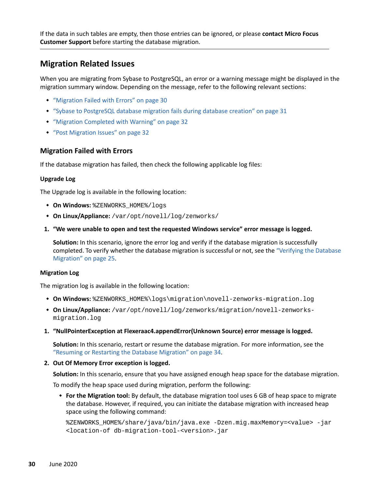If the data in such tables are empty, then those entries can be ignored, or please **contact Micro Focus Customer Support** before starting the database migration.

### <span id="page-29-0"></span>**Migration Related Issues**

When you are migrating from Sybase to PostgreSQL, an error or a warning message might be displayed in the migration summary window. Depending on the message, refer to the following relevant sections:

- ["Migration Failed with Errors" on page 30](#page-29-1)
- ["Sybase to PostgreSQL database migration fails during database creation" on page 31](#page-30-0)
- ["Migration Completed with Warning" on page 32](#page-31-1)
- ["Post Migration Issues" on page 32](#page-31-0)

### <span id="page-29-1"></span>**Migration Failed with Errors**

If the database migration has failed, then check the following applicable log files:

### **Upgrade Log**

The Upgrade log is available in the following location:

- $\bullet$  **On Windows:**   $ZENWORKS$  HOME  $\}/log$
- **On Linux/Appliance:** /var/opt/novell/log/zenworks/
- **1. "We were unable to open and test the requested Windows service" error message is logged.**

**Solution:** In this scenario, ignore the error log and verify if the database migration is successfully completed. To verify whether the database migration is successful or not, see the ["Verifying the Database](#page-24-1)  [Migration" on page 25.](#page-24-1)

#### **Migration Log**

The migration log is available in the following location:

- **On Windows:** %ZENWORKS\_HOME%\logs\migration\novell-zenworks-migration.log
- **On Linux/Appliance:** /var/opt/novell/log/zenworks/migration/novell-zenworksmigration.log
- **1. "NullPointerException at Flexeraac4.appendError(Unknown Source) error message is logged.**

**Solution:** In this scenario, restart or resume the database migration. For more information, see the ["Resuming or Restarting the Database Migration" on page 34.](#page-33-0)

**2. Out Of Memory Error exception is logged.** 

**Solution:** In this scenario, ensure that you have assigned enough heap space for the database migration.

To modify the heap space used during migration, perform the following:

 **For the Migration tool:** By default, the database migration tool uses 6 GB of heap space to migrate the database. However, if required, you can initiate the database migration with increased heap space using the following command:

```
%ZENWORKS_HOME%/share/java/bin/java.exe -Dzen.mig.maxMemory=<value> -jar 
<location-of db-migration-tool-<version>.jar
```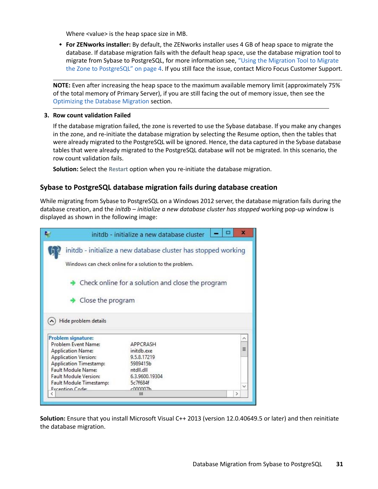Where <value> is the heap space size in MB.

 **For ZENworks installer:** By default, the ZENworks installer uses 4 GB of heap space to migrate the database. If database migration fails with the default heap space, use the database migration tool to migrate from Sybase to PostgreSQL, for more information see, ["Using the Migration Tool to Migrate](#page-3-0)  [the Zone to PostgreSQL" on page 4](#page-3-0). If you still face the issue, contact Micro Focus Customer Support.

**NOTE:** Even after increasing the heap space to the maximum available memory limit (approximately 75% of the total memory of Primary Server), if you are still facing the out of memory issue, then see the [Optimizing the Database Migration](#page-0-0) section.

### **3. Row count validation Failed**

If the database migration failed, the zone is reverted to use the Sybase database. If you make any changes in the zone, and re-initiate the database migration by selecting the Resume option, then the tables that were already migrated to the PostgreSQL will be ignored. Hence, the data captured in the Sybase database tables that were already migrated to the PostgreSQL database will not be migrated. In this scenario, the row count validation fails.

**Solution:** Select the **Restart** option when you re-initiate the database migration.

### <span id="page-30-0"></span>**Sybase to PostgreSQL database migration fails during database creation**

While migrating from Sybase to PostgreSQL on a Windows 2012 server, the database migration fails during the database creation, and the *initdb – initialize a new database cluster has stopped* working pop-up window is displayed as shown in the following image:

|                                                                                                              |                                            | initdb - initialize a new database cluster | $\bf x$      |
|--------------------------------------------------------------------------------------------------------------|--------------------------------------------|--------------------------------------------|--------------|
| initdb - initialize a new database cluster has stopped working                                               |                                            |                                            |              |
| Windows can check online for a solution to the problem.<br>Check online for a solution and close the program |                                            |                                            |              |
|                                                                                                              |                                            |                                            |              |
|                                                                                                              |                                            |                                            |              |
|                                                                                                              |                                            |                                            |              |
|                                                                                                              | Hide problem details                       |                                            |              |
|                                                                                                              | Problem signature:                         |                                            |              |
|                                                                                                              | Problem Event Name:                        | APPCRASH                                   |              |
|                                                                                                              | <b>Application Name:</b>                   | initdb.exe                                 | $\equiv$     |
|                                                                                                              | <b>Application Version:</b>                | 9.5.8.17219                                |              |
|                                                                                                              | <b>Application Timestamp:</b>              | 5989415b                                   |              |
|                                                                                                              | Fault Module Name:                         | ntdll.dll                                  |              |
|                                                                                                              | <b>Fault Module Version:</b>               | 6.3.9600.19304                             |              |
|                                                                                                              | Fault Module Timestamp:<br>Exception Code: | 5c7f684f<br>c000007h                       | $\checkmark$ |

**Solution:** Ensure that you install Microsoft Visual C++ 2013 (version 12.0.40649.5 or later) and then reinitiate the database migration.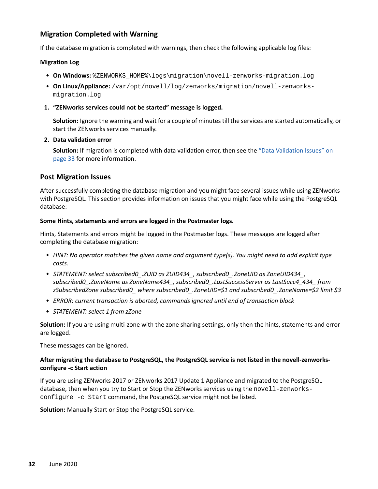### <span id="page-31-1"></span>**Migration Completed with Warning**

If the database migration is completed with warnings, then check the following applicable log files:

#### **Migration Log**

- **On Windows:** %ZENWORKS\_HOME%\logs\migration\novell-zenworks-migration.log
- **On Linux/Appliance:** /var/opt/novell/log/zenworks/migration/novell-zenworksmigration.log
- **1. "ZENworks services could not be started" message is logged.**

**Solution:** Ignore the warning and wait for a couple of minutes till the services are started automatically, or start the ZENworks services manually.

### **2. Data validation error**

**Solution:** If migration is completed with data validation error, then see the ["Data Validation Issues" on](#page-32-0)  [page 33](#page-32-0) for more information.

### <span id="page-31-0"></span>**Post Migration Issues**

After successfully completing the database migration and you might face several issues while using ZENworks with PostgreSQL. This section provides information on issues that you might face while using the PostgreSQL database:

### **Some Hints, statements and errors are logged in the Postmaster logs.**

Hints, Statements and errors might be logged in the Postmaster logs. These messages are logged after completing the database migration:

- *HINT: No operator matches the given name and argument type(s). You might need to add explicit type casts.*
- *STATEMENT: select subscribed0\_.ZUID as ZUID434\_, subscribed0\_.ZoneUID as ZoneUID434\_, subscribed0\_.ZoneName as ZoneName434\_, subscribed0\_.LastSuccessServer as LastSucc4\_434\_ from zSubscribedZone subscribed0\_ where subscribed0\_.ZoneUID=\$1 and subscribed0\_.ZoneName=\$2 limit \$3*
- *ERROR: current transaction is aborted, commands ignored until end of transaction block*
- *STATEMENT: select 1 from zZone*

**Solution:** If you are using multi-zone with the zone sharing settings, only then the hints, statements and error are logged.

These messages can be ignored.

### **After migrating the database to PostgreSQL, the PostgreSQL service is not listed in the novell-zenworksconfigure -c Start action**

If you are using ZENworks 2017 or ZENworks 2017 Update 1 Appliance and migrated to the PostgreSQL database, then when you try to Start or Stop the ZENworks services using the novell-zenworksconfigure -c Start command, the PostgreSQL service might not be listed.

**Solution:** Manually Start or Stop the PostgreSQL service.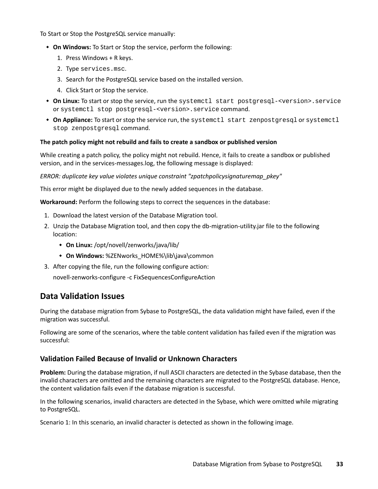To Start or Stop the PostgreSQL service manually:

- **On Windows:** To Start or Stop the service, perform the following:
	- 1. Press Windows + R keys.
	- 2. Type services.msc.
	- 3. Search for the PostgreSQL service based on the installed version.
	- 4. Click Start or Stop the service.
- **On Linux:** To start or stop the service, run the systemctl start postgresql-<version>.service or systemctl stop postgresql-<version>.service command.
- **On Appliance:** To start or stop the service run, the systemctl start zenpostgresql or systemctl stop zenpostgresql command.

#### **The patch policy might not rebuild and fails to create a sandbox or published version**

While creating a patch policy, the policy might not rebuild. Hence, it fails to create a sandbox or published version, and in the services-messages.log, the following message is displayed:

*ERROR: duplicate key value violates unique constraint "zpatchpolicysignaturemap\_pkey"*

This error might be displayed due to the newly added sequences in the database.

**Workaround:** Perform the following steps to correct the sequences in the database:

- 1. Download the latest version of the Database Migration tool.
- 2. Unzip the Database Migration tool, and then copy the db-migration-utility.jar file to the following location:
	- **On Linux:** /opt/novell/zenworks/java/lib/
	- **+ On Windows:** %ZENworks HOME%\lib\java\common
- 3. After copying the file, run the following configure action:

novell-zenworks-configure -c FixSequencesConfigureAction

### <span id="page-32-0"></span>**Data Validation Issues**

During the database migration from Sybase to PostgreSQL, the data validation might have failed, even if the migration was successful.

Following are some of the scenarios, where the table content validation has failed even if the migration was successful:

### **Validation Failed Because of Invalid or Unknown Characters**

**Problem:** During the database migration, if null ASCII characters are detected in the Sybase database, then the invalid characters are omitted and the remaining characters are migrated to the PostgreSQL database. Hence, the content validation fails even if the database migration is successful.

In the following scenarios, invalid characters are detected in the Sybase, which were omitted while migrating to PostgreSQL.

Scenario 1: In this scenario, an invalid character is detected as shown in the following image.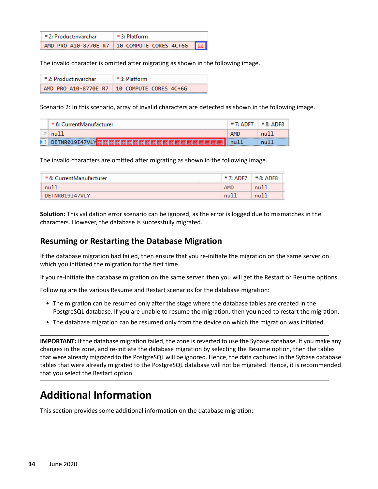| $= 2: Product: nvarchar$ | $=$ 3: Platform                               |  |
|--------------------------|-----------------------------------------------|--|
|                          | AMD PRO A10-8770E R7 10 COMPUTE CORES 4C+6G 0 |  |

The invalid character is omitted after migrating as shown in the following image.

| $= 2: Product: nvarchar$ | $=$ 3: Platform                               |
|--------------------------|-----------------------------------------------|
|                          | AMD PRO A10-8770E R7   10 COMPUTE CORES 4C+6G |

Scenario 2: In this scenario, array of invalid characters are detected as shown in the following image.

|                         | = 6: CurrentManufacturer | $= 7:$ ADF7 | $= 8:$ ADF8 |
|-------------------------|--------------------------|-------------|-------------|
|                         | null                     |             | nu11        |
| $\blacktriangleright$ 3 | DETNR019I47VL            | null        |             |

The invalid characters are omitted after migrating as shown in the following image.

| ■ 6: CurrentManufacturer | $-7:$ ADF7 $-8:$ ADF8 |      |
|--------------------------|-----------------------|------|
| null                     | <b>AMD</b>            | nu11 |
| DETNR019T47VLY           | nu11                  | null |

**Solution:** This validation error scenario can be ignored, as the error is logged due to mismatches in the characters. However, the database is successfully migrated.

### <span id="page-33-0"></span>**Resuming or Restarting the Database Migration**

If the database migration had failed, then ensure that you re-initiate the migration on the same server on which you initiated the migration for the first time.

If you re-initiate the database migration on the same server, then you will get the Restart or Resume options.

Following are the various Resume and Restart scenarios for the database migration:

- The migration can be resumed only after the stage where the database tables are created in the PostgreSQL database. If you are unable to resume the migration, then you need to restart the migration.
- The database migration can be resumed only from the device on which the migration was initiated.

**IMPORTANT:** If the database migration failed, the zone is reverted to use the Sybase database. If you make any changes in the zone, and re-initiate the database migration by selecting the Resume option, then the tables that were already migrated to the PostgreSQL will be ignored. Hence, the data captured in the Sybase database tables that were already migrated to the PostgreSQL database will not be migrated. Hence, it is recommended that you select the Restart option.

# **Additional Information**

This section provides some additional information on the database migration: